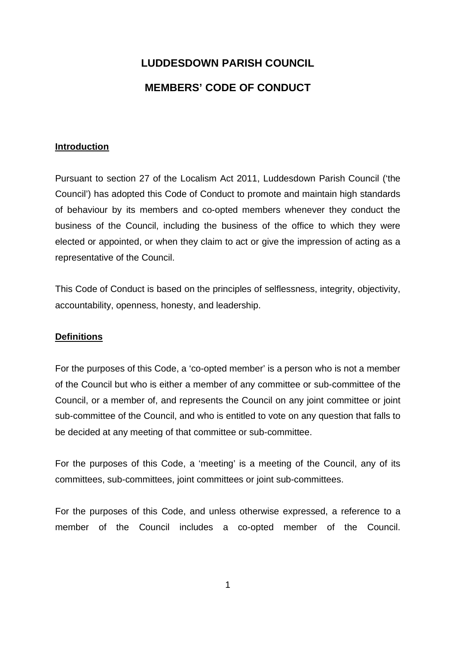# **LUDDESDOWN PARISH COUNCIL MEMBERS' CODE OF CONDUCT**

## **Introduction**

Pursuant to section 27 of the Localism Act 2011, Luddesdown Parish Council ('the Council') has adopted this Code of Conduct to promote and maintain high standards of behaviour by its members and co-opted members whenever they conduct the business of the Council, including the business of the office to which they were elected or appointed, or when they claim to act or give the impression of acting as a representative of the Council.

This Code of Conduct is based on the principles of selflessness, integrity, objectivity, accountability, openness, honesty, and leadership.

#### **Definitions**

For the purposes of this Code, a 'co-opted member' is a person who is not a member of the Council but who is either a member of any committee or sub-committee of the Council, or a member of, and represents the Council on any joint committee or joint sub-committee of the Council, and who is entitled to vote on any question that falls to be decided at any meeting of that committee or sub-committee.

For the purposes of this Code, a 'meeting' is a meeting of the Council, any of its committees, sub-committees, joint committees or joint sub-committees.

For the purposes of this Code, and unless otherwise expressed, a reference to a member of the Council includes a co-opted member of the Council.

1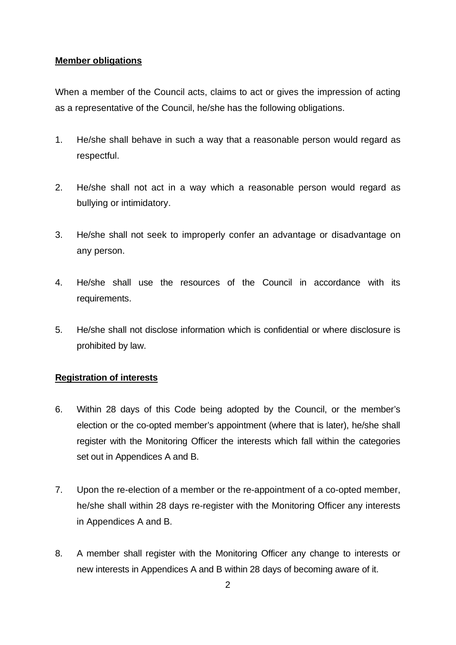### **Member obligations**

When a member of the Council acts, claims to act or gives the impression of acting as a representative of the Council, he/she has the following obligations.

- 1. He/she shall behave in such a way that a reasonable person would regard as respectful.
- 2. He/she shall not act in a way which a reasonable person would regard as bullying or intimidatory.
- 3. He/she shall not seek to improperly confer an advantage or disadvantage on any person.
- 4. He/she shall use the resources of the Council in accordance with its requirements.
- 5. He/she shall not disclose information which is confidential or where disclosure is prohibited by law.

## **Registration of interests**

- 6. Within 28 days of this Code being adopted by the Council, or the member's election or the co-opted member's appointment (where that is later), he/she shall register with the Monitoring Officer the interests which fall within the categories set out in Appendices A and B.
- 7. Upon the re-election of a member or the re-appointment of a co-opted member, he/she shall within 28 days re-register with the Monitoring Officer any interests in Appendices A and B.
- 8. A member shall register with the Monitoring Officer any change to interests or new interests in Appendices A and B within 28 days of becoming aware of it.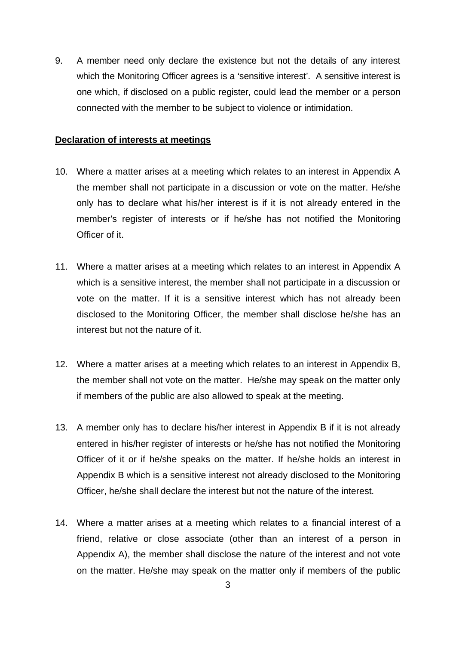9. A member need only declare the existence but not the details of any interest which the Monitoring Officer agrees is a 'sensitive interest'. A sensitive interest is one which, if disclosed on a public register, could lead the member or a person connected with the member to be subject to violence or intimidation.

#### **Declaration of interests at meetings**

- 10. Where a matter arises at a meeting which relates to an interest in Appendix A the member shall not participate in a discussion or vote on the matter. He/she only has to declare what his/her interest is if it is not already entered in the member's register of interests or if he/she has not notified the Monitoring Officer of it.
- 11. Where a matter arises at a meeting which relates to an interest in Appendix A which is a sensitive interest, the member shall not participate in a discussion or vote on the matter. If it is a sensitive interest which has not already been disclosed to the Monitoring Officer, the member shall disclose he/she has an interest but not the nature of it.
- 12. Where a matter arises at a meeting which relates to an interest in Appendix B, the member shall not vote on the matter. He/she may speak on the matter only if members of the public are also allowed to speak at the meeting.
- 13. A member only has to declare his/her interest in Appendix B if it is not already entered in his/her register of interests or he/she has not notified the Monitoring Officer of it or if he/she speaks on the matter. If he/she holds an interest in Appendix B which is a sensitive interest not already disclosed to the Monitoring Officer, he/she shall declare the interest but not the nature of the interest.
- 14. Where a matter arises at a meeting which relates to a financial interest of a friend, relative or close associate (other than an interest of a person in Appendix A), the member shall disclose the nature of the interest and not vote on the matter. He/she may speak on the matter only if members of the public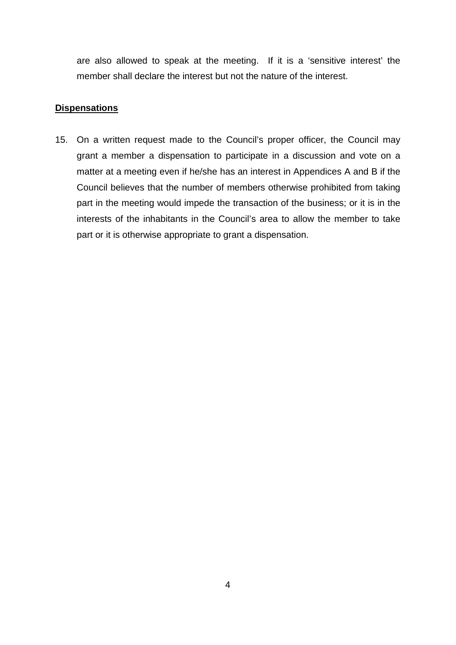are also allowed to speak at the meeting. If it is a 'sensitive interest' the member shall declare the interest but not the nature of the interest.

#### **Dispensations**

15. On a written request made to the Council's proper officer, the Council may grant a member a dispensation to participate in a discussion and vote on a matter at a meeting even if he/she has an interest in Appendices A and B if the Council believes that the number of members otherwise prohibited from taking part in the meeting would impede the transaction of the business; or it is in the interests of the inhabitants in the Council's area to allow the member to take part or it is otherwise appropriate to grant a dispensation.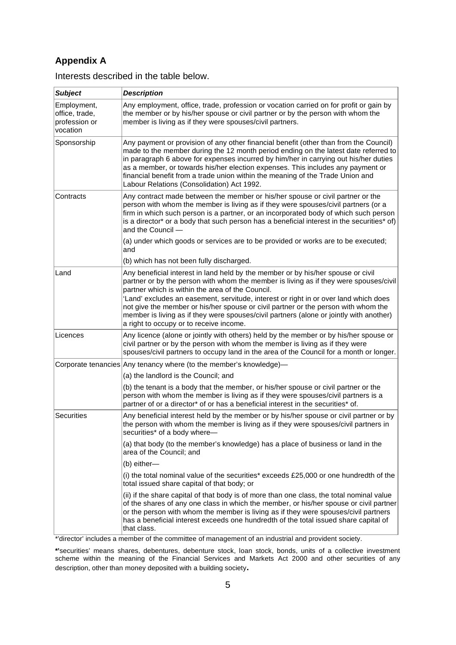# **Appendix A**

| <b>Subject</b>                                             | <b>Description</b>                                                                                                                                                                                                                                                                                                                                                                                                                                                                                                                                |
|------------------------------------------------------------|---------------------------------------------------------------------------------------------------------------------------------------------------------------------------------------------------------------------------------------------------------------------------------------------------------------------------------------------------------------------------------------------------------------------------------------------------------------------------------------------------------------------------------------------------|
| Employment,<br>office, trade,<br>profession or<br>vocation | Any employment, office, trade, profession or vocation carried on for profit or gain by<br>the member or by his/her spouse or civil partner or by the person with whom the<br>member is living as if they were spouses/civil partners.                                                                                                                                                                                                                                                                                                             |
| Sponsorship                                                | Any payment or provision of any other financial benefit (other than from the Council)<br>made to the member during the 12 month period ending on the latest date referred to<br>in paragraph 6 above for expenses incurred by him/her in carrying out his/her duties<br>as a member, or towards his/her election expenses. This includes any payment or<br>financial benefit from a trade union within the meaning of the Trade Union and<br>Labour Relations (Consolidation) Act 1992.                                                           |
| Contracts                                                  | Any contract made between the member or his/her spouse or civil partner or the<br>person with whom the member is living as if they were spouses/civil partners (or a<br>firm in which such person is a partner, or an incorporated body of which such person<br>is a director* or a body that such person has a beneficial interest in the securities* of)<br>and the Council -                                                                                                                                                                   |
|                                                            | (a) under which goods or services are to be provided or works are to be executed;<br>and                                                                                                                                                                                                                                                                                                                                                                                                                                                          |
|                                                            | (b) which has not been fully discharged.                                                                                                                                                                                                                                                                                                                                                                                                                                                                                                          |
| Land                                                       | Any beneficial interest in land held by the member or by his/her spouse or civil<br>partner or by the person with whom the member is living as if they were spouses/civil<br>partner which is within the area of the Council.<br>'Land' excludes an easement, servitude, interest or right in or over land which does<br>not give the member or his/her spouse or civil partner or the person with whom the<br>member is living as if they were spouses/civil partners (alone or jointly with another)<br>a right to occupy or to receive income. |
| Licences                                                   | Any licence (alone or jointly with others) held by the member or by his/her spouse or<br>civil partner or by the person with whom the member is living as if they were<br>spouses/civil partners to occupy land in the area of the Council for a month or longer.                                                                                                                                                                                                                                                                                 |
|                                                            | Corporate tenancies Any tenancy where (to the member's knowledge)-                                                                                                                                                                                                                                                                                                                                                                                                                                                                                |
|                                                            | (a) the landlord is the Council; and                                                                                                                                                                                                                                                                                                                                                                                                                                                                                                              |
|                                                            | (b) the tenant is a body that the member, or his/her spouse or civil partner or the<br>person with whom the member is living as if they were spouses/civil partners is a<br>partner of or a director <sup>*</sup> of or has a beneficial interest in the securities <sup>*</sup> of.                                                                                                                                                                                                                                                              |
| <b>Securities</b>                                          | Any beneficial interest held by the member or by his/her spouse or civil partner or by<br>the person with whom the member is living as if they were spouses/civil partners in<br>securities* of a body where-                                                                                                                                                                                                                                                                                                                                     |
|                                                            | (a) that body (to the member's knowledge) has a place of business or land in the<br>area of the Council; and                                                                                                                                                                                                                                                                                                                                                                                                                                      |
|                                                            | $(b)$ either-                                                                                                                                                                                                                                                                                                                                                                                                                                                                                                                                     |
|                                                            | (i) the total nominal value of the securities* exceeds £25,000 or one hundredth of the<br>total issued share capital of that body; or                                                                                                                                                                                                                                                                                                                                                                                                             |
|                                                            | (ii) if the share capital of that body is of more than one class, the total nominal value<br>of the shares of any one class in which the member, or his/her spouse or civil partner<br>or the person with whom the member is living as if they were spouses/civil partners<br>has a beneficial interest exceeds one hundredth of the total issued share capital of<br>that class.                                                                                                                                                                 |

Interests described in the table below.

\*'director' includes a member of the committee of management of an industrial and provident society.

**\*'**securities' means shares, debentures, debenture stock, loan stock, bonds, units of a collective investment scheme within the meaning of the Financial Services and Markets Act 2000 and other securities of any description, other than money deposited with a building society**.**